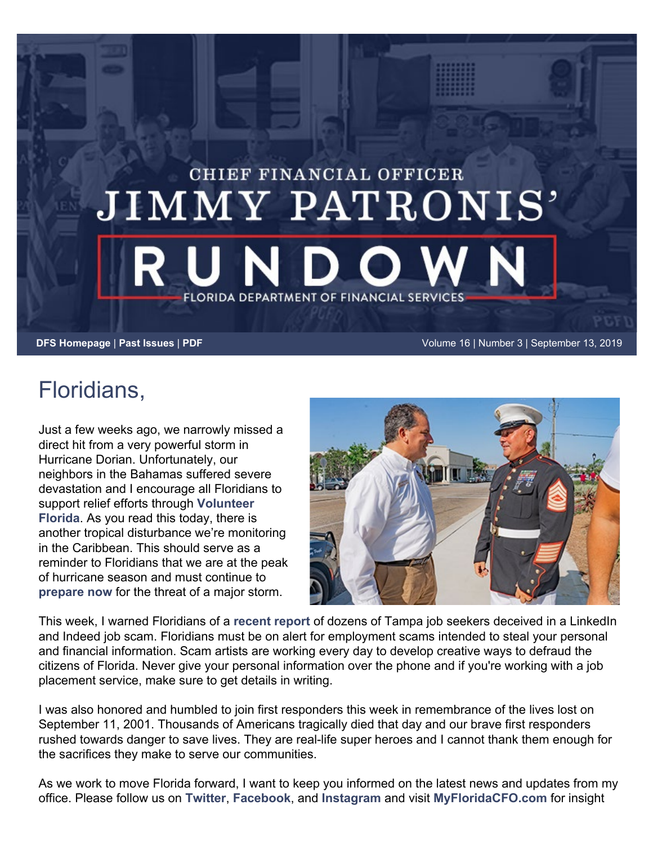## CHIEF FINANCIAL OFFICER JIMMY PATRONIS' **FLORIDA DEPARTMENT OF FINANCIAL SERVICES**

**[DFS Homepage](https://www.myfloridacfo.com/)** | **[Past Issues](http://edit2.myfloridacfo.com/pressoffice/newsletter/2019/archive/newsletterarchive.htm)** | **[PDF](http://edit2.myfloridacfo.com/pressoffice/newsletter/2019/091319/September_1319.pdf)** Volume 16 | Number 3 | September 13, 2019

## Floridians,

Just a few weeks ago, we narrowly missed a direct hit from a very powerful storm in Hurricane Dorian. Unfortunately, our neighbors in the Bahamas suffered severe devastation and I encourage all Floridians to support relief efforts through **[Volunteer](https://www.volunteerflorida.org/dorian/) [Florida](https://www.volunteerflorida.org/dorian/)**. As you read this today, there is another tropical disturbance we're monitoring in the Caribbean. This should serve as a reminder to Floridians that we are at the peak of hurricane season and must continue to **[prepare now](http://preparefl.com/)** for the threat of a major storm.



This week, I warned Floridians of a **[recent report](https://www.myfloridacfo.com/sitePages/newsroom/pressRelease.aspx?id=5380)** of dozens of Tampa job seekers deceived in a LinkedIn and Indeed job scam. Floridians must be on alert for employment scams intended to steal your personal and financial information. Scam artists are working every day to develop creative ways to defraud the citizens of Florida. Never give your personal information over the phone and if you're working with a job placement service, make sure to get details in writing.

I was also honored and humbled to join first responders this week in remembrance of the lives lost on September 11, 2001. Thousands of Americans tragically died that day and our brave first responders rushed towards danger to save lives. They are real-life super heroes and I cannot thank them enough for the sacrifices they make to serve our communities.

As we work to move Florida forward, I want to keep you informed on the latest news and updates from my office. Please follow us on **[Twitter](https://twitter.com/JimmyPatronis?ref_src=twsrc%5Egoogle%7Ctwcamp%5Eserp%7Ctwgr%5Eauthor)**, **[Facebook](https://www.facebook.com/FLDFS/)**, and **[Instagram](https://www.instagram.com/jpatronis/?hl=en)** and visit **[MyFloridaCFO.com](http://www.myfloridacfo.com/)** for insight